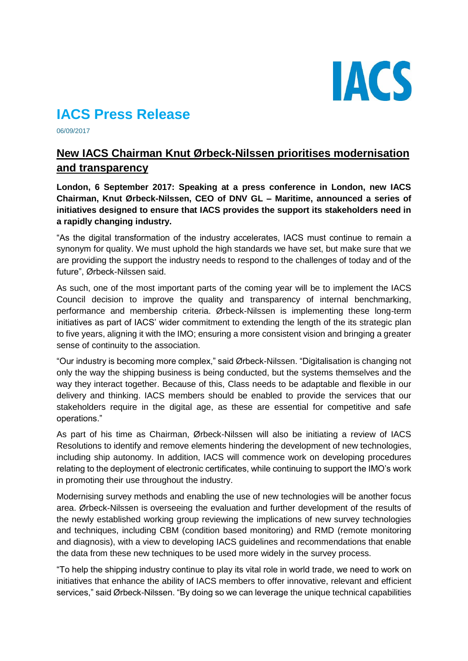

# **IACS Press Release**

06/09/2017

# **New IACS Chairman Knut Ørbeck-Nilssen prioritises modernisation and transparency**

**London, 6 September 2017: Speaking at a press conference in London, new IACS Chairman, Knut Ørbeck-Nilssen, CEO of DNV GL – Maritime, announced a series of initiatives designed to ensure that IACS provides the support its stakeholders need in a rapidly changing industry.** 

"As the digital transformation of the industry accelerates, IACS must continue to remain a synonym for quality. We must uphold the high standards we have set, but make sure that we are providing the support the industry needs to respond to the challenges of today and of the future", Ørbeck-Nilssen said.

As such, one of the most important parts of the coming year will be to implement the IACS Council decision to improve the quality and transparency of internal benchmarking, performance and membership criteria. Ørbeck-Nilssen is implementing these long-term initiatives as part of IACS' wider commitment to extending the length of the its strategic plan to five years, aligning it with the IMO; ensuring a more consistent vision and bringing a greater sense of continuity to the association.

"Our industry is becoming more complex," said Ørbeck-Nilssen. "Digitalisation is changing not only the way the shipping business is being conducted, but the systems themselves and the way they interact together. Because of this, Class needs to be adaptable and flexible in our delivery and thinking. IACS members should be enabled to provide the services that our stakeholders require in the digital age, as these are essential for competitive and safe operations."

As part of his time as Chairman, Ørbeck-Nilssen will also be initiating a review of IACS Resolutions to identify and remove elements hindering the development of new technologies, including ship autonomy. In addition, IACS will commence work on developing procedures relating to the deployment of electronic certificates, while continuing to support the IMO's work in promoting their use throughout the industry.

Modernising survey methods and enabling the use of new technologies will be another focus area. Ørbeck-Nilssen is overseeing the evaluation and further development of the results of the newly established working group reviewing the implications of new survey technologies and techniques, including CBM (condition based monitoring) and RMD (remote monitoring and diagnosis), with a view to developing IACS guidelines and recommendations that enable the data from these new techniques to be used more widely in the survey process.

"To help the shipping industry continue to play its vital role in world trade, we need to work on initiatives that enhance the ability of IACS members to offer innovative, relevant and efficient services," said Ørbeck-Nilssen. "By doing so we can leverage the unique technical capabilities